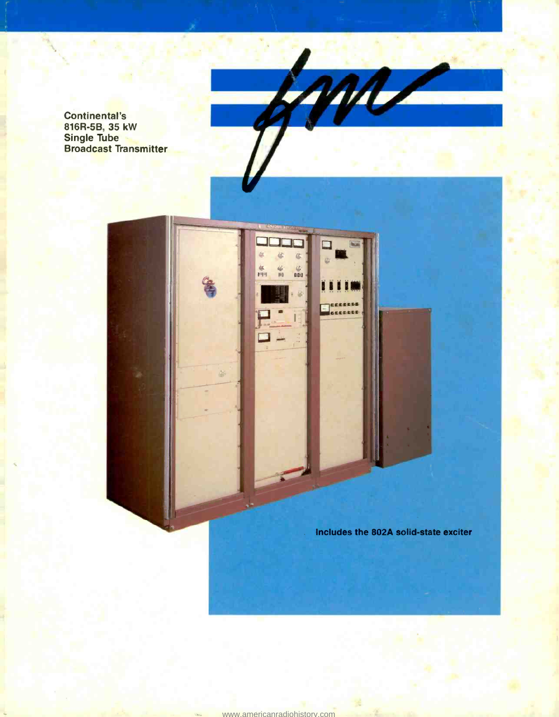Continental's 816R -5B, 35 kW Single Tube Broadcast Transmitter



**CEEEESS ED** CEEEEEE

F

 $\ddot{c}$  $\overline{C}$ 

低同 

 $\alpha$ 

 $\frac{48}{1211}$ 

É

B)

٠Ŀ

Includes the 802A solid-state exciter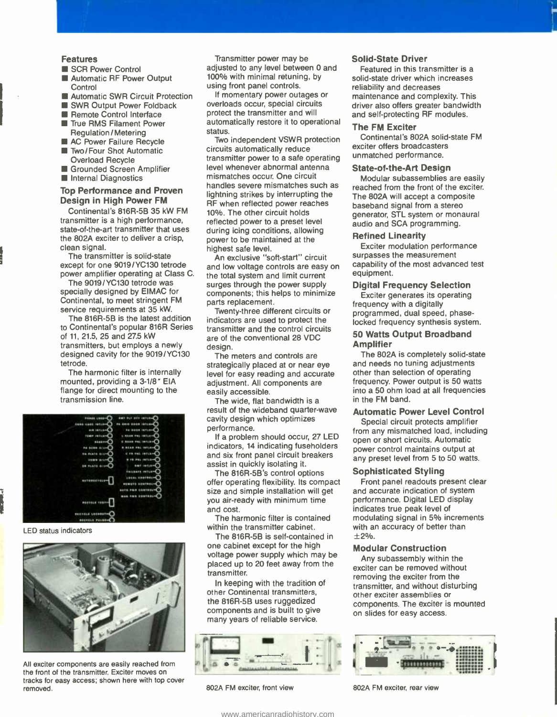#### Features

- SCR Power Control
- **Automatic RF Power Output Control**
- **Automatic SWR Circuit Protection**
- SWR Output Power Foldback
- Remote Control Interface
- True RMS Filament Power Regulation /Metering
- AC Power Failure Recycle **Two/Four Shot Automatic** Overload Recycle
- Grounded Screen Amplifier
- **Internal Diagnostics**

# Top Performance and Proven Design in High Power FM

Continental's 816R -5B 35 kW FM transmitter is a high performance, state-of-the-art transmitter that uses the 802A exciter to deliver a crisp, clean signal.

The transmitter is solid-state except for one 9019/YC130 tetrode power amplifier operating at Class C.

The 9019/YC130 tetrode was specially designed by EIMAC for Continental, to meet stringent FM service requirements at 35 kW.

The 816R-5B is the latest addition to Continental's popular 816R Series of 11, 21.5, 25 and 27.5 kW transmitters, but employs a newly designed cavity for the 9019/YC130 tetrode.

The harmonic filter is internally mounted, providing a 3-1/8" EIA flange for direct mounting to the transmission line.



LED status indicators



All exciter components are easily reached from the front of the transmitter. Exciter moves on tracks for easy access; shown here with top cover removed. 802A FM exciter, front view

Transmitter power may be adjusted to any level between 0 and 100% with minimal retuning, by using front panel controls.

If momentary power outages or overloads occur, special circuits protect the transmitter and will automatically restore it to operational status.

Two independent VSWR protection circuits automatically reduce transmitter power to a safe operating level whenever abnormal antenna mismatches occur. One circuit handles severe mismatches such as lightning strikes by interrupting the RF when reflected power reaches 10 %. The other circuit holds reflected power to a preset level during icing conditions, allowing power to be maintained at the highest safe level.

An exclusive "soft-start" circuit and low voltage controls are easy on the total system and limit current surges through the power supply components; this helps to minimize parts replacement.

Twenty-three different circuits or indicators are used to protect the transmitter and the control circuits are of the conventional 28 VDC design.

The meters and controls are strategically placed at or near eye level for easy reading and accurate adjustment. All components are easily accessible.

The wide, flat bandwidth is a result of the wideband quarter-wave cavity design which optimizes performance.

If a problem should occur, 27 LED indicators, 14 indicating fuseholders and six front panel circuit breakers assist in quickly isolating it.

The 816R -5B's control options offer operating flexibility. Its compact size and simple installation will get you air-ready with minimum time and cost.

The harmonic filter is contained within the transmitter cabinet.

The 816R-5B is self-contained in one cabinet except for the high voltage power supply which may be placed up to 20 feet away from the transmitter.

In keeping with the tradition of other Continental transmitters, the 816R-5B uses ruggedized components and is built to give many years of reliable service.



#### Solid-State Driver

Featured in this transmitter is a solid-state driver which increases reliability and decreases maintenance and complexity. This driver also offers greater bandwidth and self-protecting RF modules.

### The FM Exciter

Continental's 802A solid-state FM exciter offers broadcasters unmatched performance.

#### **State-of-the-Art Design**

Modular subassemblies are easily reached from the front of the exciter. The 802A will accept a composite baseband signal from a stereo generator, STL system or monaural audio and SCA programming.

## Refined Linearity

Exciter modulation performance surpasses the measurement capability of the most advanced test equipment.

## Digital Frequency Selection

Exciter generates its operating frequency with a digitally programmed, dual speed, phaselocked frequency synthesis system.

## 50 Watts Output Broadband Amplifier

The 802A is completely solid-state and needs no tuning adjustments other than selection of operating frequency. Power output is 50 watts into a 50 ohm load at all frequencies in the FM band.

### Automatic Power Level Control

Special circuit protects amplifier from any mismatched load, including open or short circuits. Automatic power control maintains output at any preset level from 5 to 50 watts.

## Sophisticated Styling

Front panel readouts present clear and accurate indication of system performance. Digital LED display indicates true peak level of modulating signal in 5% increments with an accuracy of better than  $±2%$ .

#### Modular Construction

Any subassembly within the exciter can be removed without removing the exciter from the transmitter, and without disturbing other exciter assemblies or components. The exciter is mounted on slides for easy access.



802A FM exciter, rear view

<www.americanradiohistory.com>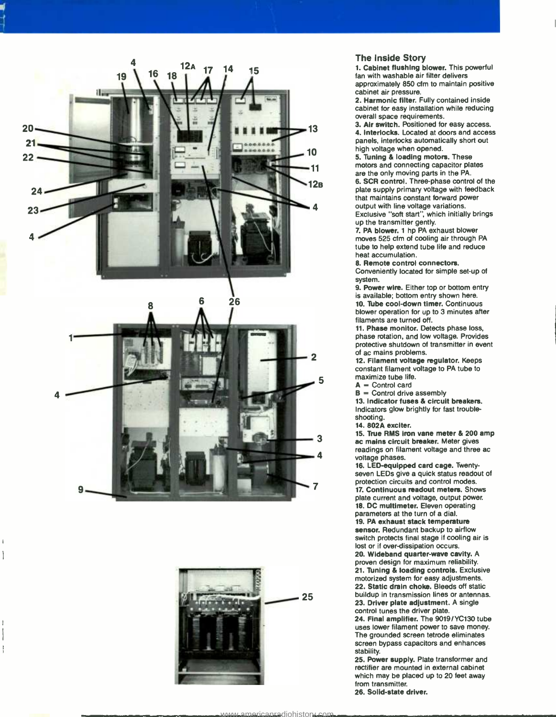$\mathbf{I}$ 





#### The Inside Story

1. Cabinet flushing blower. This powerful fan with washable air filter delivers approximately 850 cfm to maintain positive cabinet air pressure.

2. Harmonic filter. Fully contained inside cabinet for easy installation while reducing overall space requirements.

3. Air switch. Positioned for easy access. 4. Interlocks. Located at doors and access panels, interlocks automatically short out high voltage when opened.

5. Tuning & loading motors. These motors and connecting capacitor plates are the only moving parts in the PA. 6. SCR control. Three -phase control of the plate supply primary voltage with feedback that maintains constant forward power output with line voltage variations. Exclusive "soft start", which initially brings

up the transmitter gently.<br>7. PA blower. 1 hp PA exhaust blower moves 525 cfm of cooling air through PA tube to help extend tube life and reduce heat accumulation.

8. Remote control connectors.

Conveniently located for simple set-up of system.

9. Power wire. Either top or bottom entry is available; bottom entry shown here. 10. Tube cool-down timer. Continuous blower operation for up to 3 minutes after filaments are turned off.

11. Phase monitor. Detects phase loss, phase rotation, and low voltage. Provides protective shutdown of transmitter in event of ac mains problems.

12. Filament voltage regulator. Keeps constant filament voltage to PA tube to maximize tube life.

 $A =$  Control card

 $B =$  Control drive assembly

13. Indicator fuses & circuit breakers. Indicators glow brightly for fast troubleshooting.

14. 802A exciter.

15. True RMS iron vane meter & 200 amp ac mains circuit breaker. Meter gives readings on filament voltage and three ac voltage phases.

16. LED-equipped card cage. Twentyseven LEDs give a quick status readout of protection circuits and control modes. 17. Continuous readout meters. Shows plate current and voltage, output power. 18. DC multimeter. Eleven operating parameters at the turn of a dial. 19. PA exhaust stack temperature sensor. Redundant backup to airflow switch protects final stage if cooling air is lost or if over-dissipation occurs. 20. Wideband quarter-wave cavity. A proven design for maximum reliability. 21. Tuning & loading controls. Exclusive motorized system for easy adjustments. 22. Static drain choke. Bleeds off static buildup in transmission lines or antennas. 23. Driver plate adjustment. A single control tunes the driver plate.

24. Final amplifier. The 9019/YC130 tube uses lower filament power to save money. The grounded screen tetrode eliminates screen bypass capacitors and enhances stability.

25. Power supply. Plate transformer and rectifier are mounted in external cabinet which may be placed up to 20 feet away from transmitter.

26. Solid-state driver.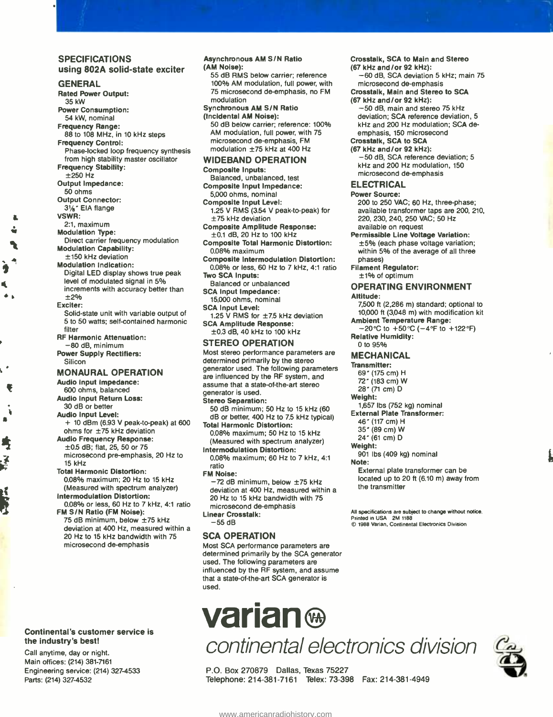#### **SPECIFICATIONS** using 802A solid-state exciter

#### **GENERAL**

Rated Power Output: 35 kW

Power Consumption: 54 kW, nominal Frequency Range:

- 88 to 108 MHz, in 10 kHz steps Frequency Control:
- Phase -locked loop frequency synthesis from high stability master oscillator

Frequency Stability:

 $+250$  Hz

- Output Impedance: 50 ohms
- Output Connector:
- 31/8" EIA flange

VSWR:

2:1, maximum

Modulation Type:

Direct carrier frequency modulation Modulation Capability:

±150 kHz deviation

Modulation Indication:

Digital LED display shows true peak level of modulated signal in 5% increments with accuracy better than ±2%

Exciter:

- Solid-state unit with variable output of 5 to 50 watts; self- contained harmonic filter
- RF Harmonic Attenuation:
- -80 dB, minimum Power Supply Rectifiers: Silicon

#### MONAURAL OPERATION

Audio Input Impedance:

- 600 ohms, balanced
- Audio Input Return Loss: 30 dB or better
- Audio Input Level:
- $+$  10 dBm (6.93 V peak-to-peak) at 600 ohms for ±75 kHz deviation
- Audio Frequency Response:

±0.5 dB; flat, 25, 50 or 75 microsecond pre -emphasis, 20 Hz to 15 kHz

Total Harmonic Distortion: 0.08% maximum; 20 Hz to 15 kHz (Measured with spectrum analyzer) Intermodulation Distortion:

0.08% or less, 60 Hz to 7 kHz, 4:1 ratio FM S/N Ratio (FM Noise):

75 dB minimum, below ±75 kHz deviation at 400 Hz, measured within a 20 Hz to 15 kHz bandwidth with 75 microsecond de-emphasis

# Continental's customer service is the industry's best!

Call anytime, day or night. Main offices: (214) 381 -7161 Engineering service: (214) 327-4533 Parts: (214) 327-4532

#### Asynchronous AM S/N Ratio (AM Noise): 55 dB RMS below carrier; reference

100% AM modulation, full power, with 75 microsecond de-emphasis, no FM modulation Synchronous AM S/N Ratio

# (Incidental AM Noise): 50 dB below carrier; reference: 100%

AM modulation, full power, with 75 microsecond de-emphasis, FM modulation ±75 kHz at 400 Hz

#### WIDEBAND OPERATION Composite Inputs:

Balanced, unbalanced, test

- Composite Input Impedance:
- 5,000 ohms, nominal Composite Input Level:

1.25 V RMS (3.54 V peak-to-peak) for ±75 kHz deviation

Composite Amplitude Response:  $\pm$ 0.1 dB, 20 Hz to 100 kHz

Composite Total Harmonic Distortion: 0.08% maximum

- Composite Intermodulation Distortion: 0.08% or less, 60 Hz to 7 kHz, 4:1 ratio Two SCA Inputs:
- Balanced or unbalanced
- SCA Input Impedance:
- 15,000 ohms, nominal

SCA Input Level: 1.25 V RMS for  $\pm$ 7.5 kHz deviation

SCA Amplitude Response:

±0.3 dB, 40 kHz to 100 kHz

# STEREO OPERATION

Most stereo performance parameters are determined primarily by the stereo generator used. The following parameters are influenced by the RF system, and<br>assume that a state-of-the-art stereo generator is used.

#### Stereo Separation:

50 dB minimum; 50 Hz to 15 kHz (60 dB or better, 400 Hz to 7.5 kHz typical) Total Harmonic Distortion:

0.08% maximum; 50 Hz to 15 kHz (Measured with spectrum analyzer)

Intermodulation Distortion: 0.08% maximum; 60 Hz to 7 kHz, 4:1 ratio

FM Noise:<br>-72 dB minimum, below ±75 kHz deviation at 400 Hz, measured within a 20 Hz to 15 kHz bandwidth with 75 microsecond de-emphasis Linear Crosstalk: - 55 dB

# SCA OPERATION

Most SCA performance parameters are determined primarily by the SCA generator used. The following parameters are influenced by the RF system, and assume that a state-of-the-art SCA generator is used.

# **varian** ®

continental electronics division

P.O. Box 270879 Dallas, Texas 75227 Telephone: 214-381-7161 Telex: 73-398 Fax: 214-381-4949



<www.americanradiohistory.com>

## Crosstalk, SCA to Main and Stereo

- (67 kHz and /or 92 kHz): -60 dB, SCA deviation 5 kHz; main 75 microsecond de-emphasis
- Crosstalk, Main and Stereo to SCA (67 kHz and /or 92 kHz):

- 50 dB, main and stereo 75 kHz deviation; SCA reference deviation, 5 kHz and 200 Hz modulation; SCA deemphasis, 150 microsecond

Crosstalk, SCA to SCA

(67 kHz and /or 92 kHz):

- 50 dB, SCA reference deviation; <sup>5</sup> kHz and 200 Hz modulation, 150 microsecond de-emphasis

### **ELECTRICAL**

Power Source:

200 to 250 VAC; 60 Hz, three -phase; available transformer taps are 200, 210, 220, 230, 240, 250 VAC; 50 Hz available on request

Permissible Line Voltage Variation: ±5% (each phase voltage variation;

within 5% of the average of all three phases)

Filament Regulator:

±1% of optimum

# OPERATING ENVIRONMENT

Altitude:

7,500 ft (2,286 m) standard; optional to 10,000 ft (3,048 m) with modification kit Ambient Temperature Range:

 $-20$  °C to  $+50$  °C ( $-4$  °F to  $+122$  °F) Relative Humidity:

0 to 95% MECHANICAL

# Transmitter:

69" (175 cm) H

- 72" (183 cm) W
- 28" (71 cm) D
- Weight:

1,657 lbs (752 kg) nominal

- External Plate Transformer:
	- 46" (117 cm) H
- 35" (89 cm) W

the transmitter

Printed in USA 2M 1188

- 24" (61 cm) D
- Weight:

901 lbs (409 kg) nominal Note:

External plate transformer can be located up to 20 ft (6.10 m) away from

All specifications are subject to change without notice.

1988 Varian, Continental Electronics Division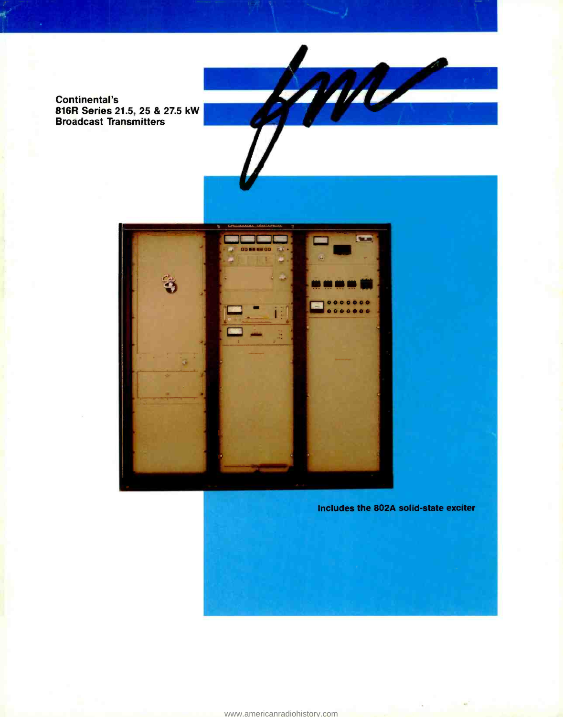Continental's 816R Series 21.5, 25 & 27.5 kW Broadcast Transmitters



Includes the 802A solid-state exciter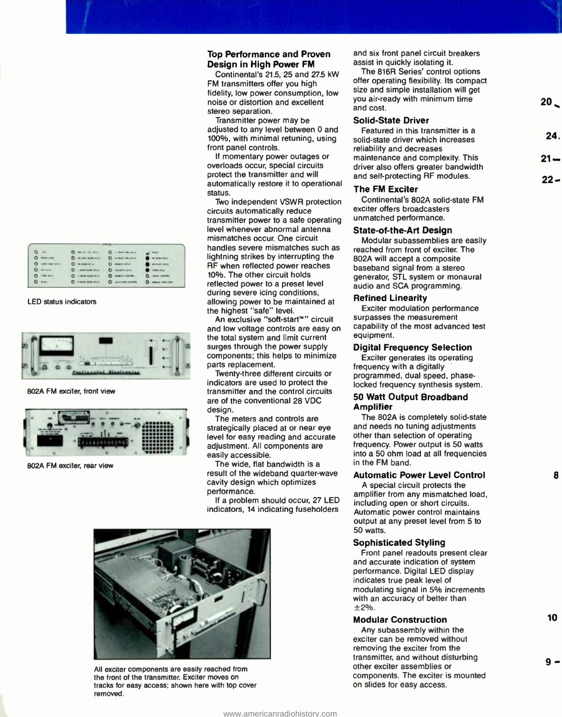|                     | <b>Windows And Inc.</b> | <b>C always be with</b>         |                      |
|---------------------|-------------------------|---------------------------------|----------------------|
|                     | -                       | <b>West Earth</b>               |                      |
| o                   | 44.446                  | $\Box$ - Holdert- what          | <b>Hann</b> Hot      |
| o<br><b>MARINER</b> |                         | o<br><b>Bridge of Little FM</b> | o                    |
|                     |                         | $\Omega$ doll and               | <b>Q</b> must remain |

#### LED status indicators



802A FM exciter, front view



802A FM exciter, rear view

# Top Performance and Proven Design in High Power FM

Continental's 21.5, 25 and 27.5 kW FM transmitters offer you high fidelity, low power consumption, low noise or distortion and excellent stereo separation.

Transmitter power may be adjusted to any level between 0 and 100%, with minimal retuning, using front panel controls.

If momentary power outages or overloads occur, special circuits protect the transmitter and will automatically restore it to operational status.

Two independent VSWR protection circuits automatically reduce transmitter power to a safe operating level whenever abnormal antenna mismatches occur. One circuit handles severe mismatches such as lightning strikes by interrupting the RF when reflected power reaches 10%. The other circuit holds reflected power to a preset level during severe icing conditions, allowing power to be maintained at the highest "safe" level.

- components; this helps to minimize  $\frac{1}{\sqrt{2}}$  a parts replacement. An exclusive "soft-start™" circuit and low voltage controls are easy on the total system and limit current surges through the power supply

Twenty-three different circuits or indicators are used to protect the transmitter and the control circuits are of the conventional 28 VDC design.

The meters and controls are strategically placed at or near eye level for easy reading and accurate adjustment. All components are easily accessible.

The wide, flat bandwidth is a result of the wideband quarter-wave cavity design which optimizes performance.

If a problem should occur, 27 LED indicators, 14 indicating fuseholders



All exciter components are easily reached from the front of the transmitter. Exciter moves on tracks for easy access; shown here with top cover removed.

and six front panel circuit breakers assist in quickly isolating it.

The 816R Series' control options offer operating flexibility. Its compact size and simple installation will get you air -ready with minimum time and cost.

#### Solid-State Driver

Featured in this transmitter is a solid-state driver which increases reliability and decreases maintenance and complexity. This driver also offers greater bandwidth and self-protecting RF modules.

### The FM Exciter

Continental's 802A solid -state FM exciter offers broadcasters unmatched performance.

## State-of-the-Art Design

Modular subassemblies are easily reached from front of exciter. The 802A will accept a composite baseband signal from a stereo generator, STL system or monaural audio and SCA programming.

## Refined Linearity

Exciter modulation performance surpasses the measurement capability of the most advanced test equipment.

# Digital Frequency Selection

Exciter generates its operating frequency with a digitally programmed, dual speed, phaselocked frequency synthesis system.

## 50 Watt Output Broadband Amplifier

The 802A is completely solid-state and needs no tuning adjustments other than selection of operating frequency. Power output is 50 watts into a 50 ohm load at all frequencies in the FM band.

# Automatic Power Level Control

A special circuit protects the amplifier from any mismatched load, including open or short circuits. Automatic power control maintains output at any preset level from 5 to 50 watts.

## Sophisticated Styling

Front panel readouts present clear and accurate indication of system performance. Digital LED display indicates true peak level of modulating signal in 5% increments with an accuracy of better than  $±2%$ .

# Modular Construction

Any subassembly within the exciter can be removed without removing the exciter from the transmitter, and without disturbing other exciter assemblies or components. The exciter is mounted on slides for easy access.

10

9-

8

 $20<sub>l</sub>$ 

24,

21-

 $22 -$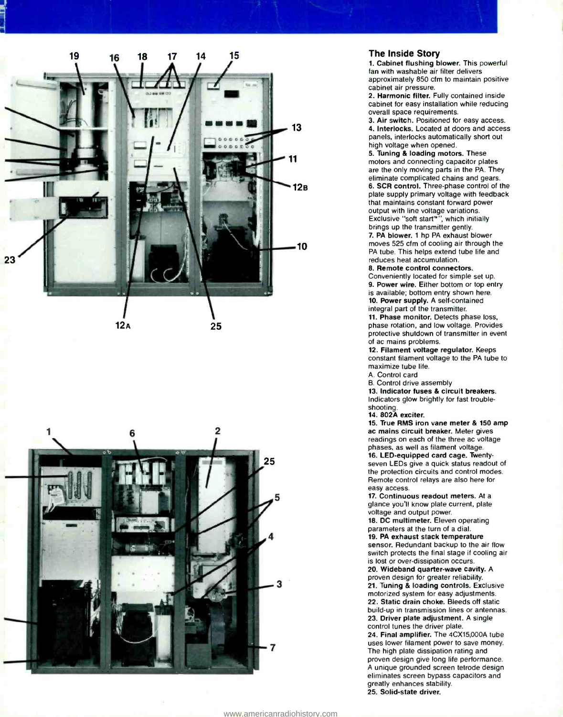



# The Inside Story

1. Cabinet flushing blower. This powerful fan with washable air filter delivers approximately 850 cfm to maintain positive cabinet air pressure.

2. Harmonic filter. Fully contained inside cabinet for easy installation while reducing overall space requirements.

3. Air switch. Positioned for easy access. 4. Interlocks. Located at doors and access panels, interlocks automatically short out high voltage when opened.

5. Tuning & loading motors. These motors and connecting capacitor plates are the only moving parts in the PA. They eliminate complicated chains and gears. 6. SCR control. Three -phase control of the plate supply primary voltage with feedback that maintains constant forward power output with line voltage variations. Exclusive "soft start" ", which initially brings up the transmitter gently.<br>7. PA blower. 1 hp PA exhaust blower

moves 525 cfm of cooling air through the PA tube. This helps extend tube life and reduces heat accumulation.

8. Remote control connectors. Conveniently located for simple set up. 9. Power wire. Either bottom or top entry is available: bottom entry shown here.

10. Power supply. A self-contained integral part of the transmitter.

11. Phase monitor. Detects phase loss, phase rotation. and low voltage. Provides protective shutdown of transmitter in event of ac mains problems.

12. Filament voltage regulator. Keeps constant filament voltage to the PA tube to maximize tube life.

A. Control card

B. Control drive assembly

13. Indicator fuses & circuit breakers. Indicators glow brightly for fast troubleshooting.

14. 802A exciter.

15. True RMS iron vane meter & 150 amp ac mains circuit breaker. Meter gives readings on each of the three ac voltage phases, as well as filament voltage. 16. LED-equipped card cage. Twentyseven LEDs give a quick status readout of the protection circuits and control modes. Remote control relays are also here for easy access.

17. Continuous readout meters. At a glance you'll know plate current, plate voltage and output power.

18. DC multimeter. Eleven operating parameters at the turn of a dial. 19. PA exhaust stack temperature

sensor. Redundant backup to the air flow switch protects the final stage if cooling air is lost or over -dissipation occurs.

20. Wideband quarter-wave cavity. A proven design for greater reliability. 21. Tuning & loading controls. Exclusive motorized system for easy adjustments. 22. Static drain choke. Bleeds off static build-up in transmission lines or antennas. 23. Driver plate adjustment. A single control tunes the driver plate.<br>24. Final amplifier. The 4CX15,000A tube

uses lower filament power to save money. The high plate dissipation rating and proven design give long life performance. A unique grounded screen tetrode design eliminates screen bypass capacitors and greatly enhances stability. 25. Solid-state driver.